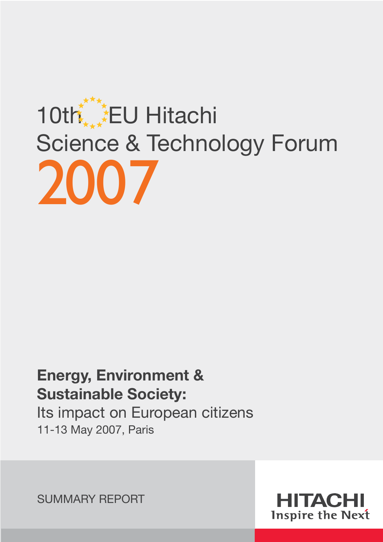# 2007 10th EU Hitachi Science & Technology Forum

# **Energy, Environment & Sustainable Society:**

Its impact on European citizens 11-13 May 2007, Paris

SUMMARY REPORT

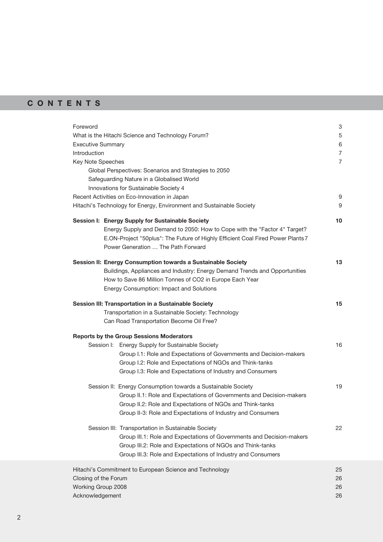# **CONTENTS**

| Foreword                 |                                                                                 | 3              |
|--------------------------|---------------------------------------------------------------------------------|----------------|
|                          | What is the Hitachi Science and Technology Forum?                               | 5              |
| <b>Executive Summary</b> |                                                                                 | 6              |
| <b>Introduction</b>      |                                                                                 | $\overline{7}$ |
| Key Note Speeches        |                                                                                 | $\overline{7}$ |
|                          | Global Perspectives: Scenarios and Strategies to 2050                           |                |
|                          | Safeguarding Nature in a Globalised World                                       |                |
|                          | Innovations for Sustainable Society 4                                           |                |
|                          | Recent Activities on Eco-Innovation in Japan                                    | 9              |
|                          | Hitachi's Technology for Energy, Environment and Sustainable Society            | 9              |
|                          | Session I: Energy Supply for Sustainable Society                                | 10             |
|                          | Energy Supply and Demand to 2050: How to Cope with the "Factor 4" Target?       |                |
|                          | E.ON-Project "50plus": The Future of Highly Efficient Coal Fired Power Plants 7 |                |
|                          | Power Generation  The Path Forward                                              |                |
|                          | Session II: Energy Consumption towards a Sustainable Society                    | 13             |
|                          | Buildings, Appliances and Industry: Energy Demand Trends and Opportunities      |                |
|                          | How to Save 86 Million Tonnes of CO2 in Europe Each Year                        |                |
|                          | Energy Consumption: Impact and Solutions                                        |                |
|                          | Session III: Transportation in a Sustainable Society                            | 15             |
|                          | Transportation in a Sustainable Society: Technology                             |                |
|                          | Can Road Transportation Become Oil Free?                                        |                |
|                          | <b>Reports by the Group Sessions Moderators</b>                                 |                |
|                          | Session I: Energy Supply for Sustainable Society                                | 16             |
|                          | Group I.1: Role and Expectations of Governments and Decision-makers             |                |
|                          | Group I.2: Role and Expectations of NGOs and Think-tanks                        |                |
|                          | Group I.3: Role and Expectations of Industry and Consumers                      |                |
|                          | Session II: Energy Consumption towards a Sustainable Society                    | 19             |
|                          | Group II.1: Role and Expectations of Governments and Decision-makers            |                |
|                          | Group II.2: Role and Expectations of NGOs and Think-tanks                       |                |
|                          | Group II-3: Role and Expectations of Industry and Consumers                     |                |
|                          | Session III: Transportation in Sustainable Society                              | 22             |
|                          | Group III.1: Role and Expectations of Governments and Decision-makers           |                |
|                          | Group III.2: Role and Expectations of NGOs and Think-tanks                      |                |
|                          | Group III.3: Role and Expectations of Industry and Consumers                    |                |
|                          | Hitachi's Commitment to European Science and Technology                         | 25             |
| Closing of the Forum     |                                                                                 | 26             |
| Working Group 2008       |                                                                                 | 26             |
| Acknowledgement          |                                                                                 | 26             |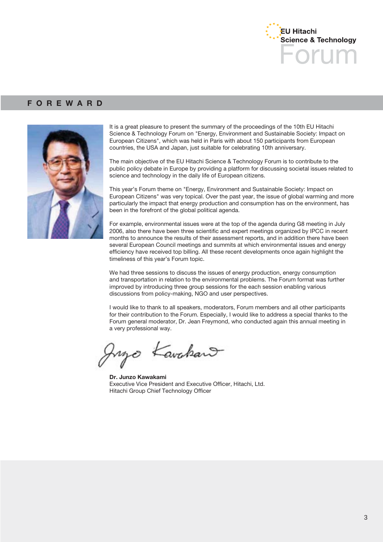

# **FOREWARD**



It is a great pleasure to present the summary of the proceedings of the 10th EU Hitachi Science & Technology Forum on "Energy, Environment and Sustainable Society: Impact on European Citizens", which was held in Paris with about 150 participants from European countries, the USA and Japan, just suitable for celebrating 10th anniversary.

The main objective of the EU Hitachi Science & Technology Forum is to contribute to the public policy debate in Europe by providing a platform for discussing societal issues related to science and technology in the daily life of European citizens.

This year's Forum theme on "Energy, Environment and Sustainable Society: Impact on European Citizens" was very topical. Over the past year, the issue of global warming and more particularly the impact that energy production and consumption has on the environment, has been in the forefront of the global political agenda.

For example, environmental issues were at the top of the agenda during G8 meeting in July 2006, also there have been three scientific and expert meetings organized by IPCC in recent months to announce the results of their assessment reports, and in addition there have been several European Council meetings and summits at which environmental issues and energy efficiency have received top billing. All these recent developments once again highlight the timeliness of this year's Forum topic.

We had three sessions to discuss the issues of energy production, energy consumption and transportation in relation to the environmental problems. The Forum format was further improved by introducing three group sessions for the each session enabling various discussions from policy-making, NGO and user perspectives.

I would like to thank to all speakers, moderators, Forum members and all other participants for their contribution to the Forum. Especially, I would like to address a special thanks to the Forum general moderator, Dr. Jean Freymond, who conducted again this annual meeting in a very professional way.

Kavakant

**Dr. Junzo Kawakami** Executive Vice President and Executive Officer, Hitachi, Ltd. Hitachi Group Chief Technology Officer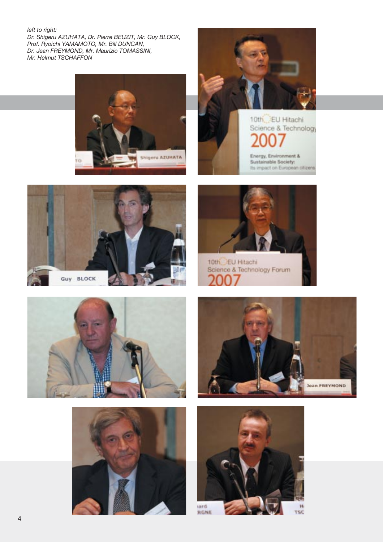*left to right: Dr. Shigeru AZUHATA, Dr. Pierre BEUZIT, Mr. Guy BLOCK, Prof. Ryoichi YAMAMOTO, Mr. Bill DUNCAN, Dr. Jean FREYMOND, Mr. Maurizio TOMASSINI, Mr. Helmut TSCHAFFON*





10th\_EU Hitachi Science & Technology Energy, Environment & Sustainable Society: Its impact on European citizens











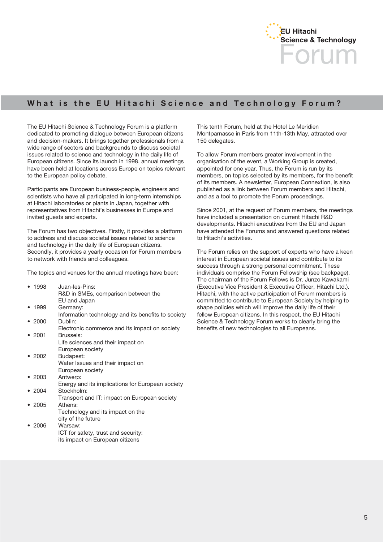

# **What is the EU Hitachi Science and Technology Forum?**

The EU Hitachi Science & Technology Forum is a platform dedicated to promoting dialogue between European citizens and decision-makers. It brings together professionals from a wide range of sectors and backgrounds to discuss societal issues related to science and technology in the daily life of European citizens. Since its launch in 1998, annual meetings have been held at locations across Europe on topics relevant to the European policy debate.

Participants are European business-people, engineers and scientists who have all participated in long-term internships at Hitachi laboratories or plants in Japan, together with representatives from Hitachi's businesses in Europe and invited guests and experts.

The Forum has two objectives. Firstly, it provides a platform to address and discuss societal issues related to science and technology in the daily life of European citizens. Secondly, it provides a yearly occasion for Forum members to network with friends and colleagues.

The topics and venues for the annual meetings have been:

| • 1998         | Juan-les-Pins:                                     |
|----------------|----------------------------------------------------|
|                | R&D in SMEs, comparison between the                |
|                | EU and Japan                                       |
| • 1999         | Germany:                                           |
|                | Information technology and its benefits to society |
| • 2000         | Dublin:                                            |
|                | Electronic commerce and its impact on society      |
| • 2001         | Brussels:                                          |
|                | Life sciences and their impact on                  |
|                | European society                                   |
| • 2002         | Budapest:                                          |
|                | Water Issues and their impact on                   |
|                | European society                                   |
| $\bullet$ 2003 | Antwerp:                                           |
|                | Energy and its implications for European society   |
| • 2004         | Stockholm:                                         |
|                | Transport and IT: impact on European society       |
| • 2005         | Athens:                                            |
|                | Technology and its impact on the                   |
|                | city of the future                                 |
| • 2006         | Warsaw:                                            |
|                | ICT for safety, trust and security:                |
|                | its impact on European citizens                    |

This tenth Forum, held at the Hotel Le Meridien Montparnasse in Paris from 11th-13th May, attracted over 150 delegates.

To allow Forum members greater involvement in the organisation of the event, a Working Group is created, appointed for one year. Thus, the Forum is run by its members, on topics selected by its members, for the benefit of its members. A newsletter, European Connextion, is also published as a link between Forum members and Hitachi, and as a tool to promote the Forum proceedings.

Since 2001, at the request of Forum members, the meetings have included a presentation on current Hitachi R&D developments. Hitachi executives from the EU and Japan have attended the Forums and answered questions related to Hitachi's activities.

The Forum relies on the support of experts who have a keen interest in European societal issues and contribute to its success through a strong personal commitment. These individuals comprise the Forum Fellowship (see backpage). The chairman of the Forum Fellows is Dr. Junzo Kawakami (Executive Vice President & Executive Officer, Hitachi Ltd.). Hitachi, with the active participation of Forum members is committed to contribute to European Society by helping to shape policies which will improve the daily life of their fellow European citizens. In this respect, the EU Hitachi Science & Technology Forum works to clearly bring the benefits of new technologies to all Europeans.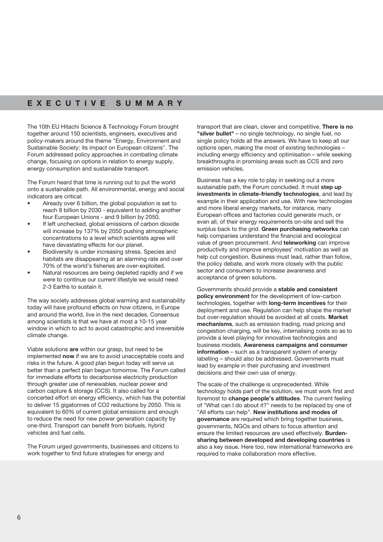# **EXECUTIVE SUMMARY**

The 10th EU Hitachi Science & Technology Forum brought together around 150 scientists, engineers, executives and policy-makers around the theme "Energy, Environment and Sustainable Society: its impact on European citizens". The Forum addressed policy approaches in combating climate change, focusing on options in relation to energy supply, energy consumption and sustainable transport.

The Forum heard that time is running out to put the world onto a sustainable path. All environmental, energy and social indicators are critical:

- Already over 6 billion, the global population is set to reach 8 billion by 2030 - equivalent to adding another four European Unions - and 9 billion by 2050.
- If left unchecked, global emissions of carbon dioxide will increase by 137% by 2050 pushing atmospheric concentrations to a level which scientists agree will have devastating effects for our planet.
- Biodiversity is under increasing stress. Species and habitats are disappearing at an alarming rate and over 70% of the world's fisheries are over-exploited.
- Natural resources are being depleted rapidly and if we were to continue our current lifestyle we would need 2-3 Earths to sustain it.

The way society addresses global warming and sustainability today will have profound effects on how citizens, in Europe and around the world, live in the next decades. Consensus among scientists is that we have at most a 10-15 year window in which to act to avoid catastrophic and irreversible climate change.

Viable solutions **are** within our grasp, but need to be implemented **now** if we are to avoid unacceptable costs and risks in the future. A good plan begun today will serve us better than a perfect plan begun tomorrow. The Forum called for immediate efforts to decarbonise electricity production through greater use of renewables, nuclear power and carbon capture & storage (CCS). It also called for a concerted effort on energy efficiency, which has the potential to deliver 15 gigatonnes of CO2 reductions by 2050. This is equivalent to 60% of current global emissions and enough to reduce the need for new power generation capacity by one-third. Transport can benefit from biofuels, hybrid vehicles and fuel cells.

The Forum urged governments, businesses and citizens to work together to find future strategies for energy and

transport that are clean, clever and competitive. **There is no "silver bullet"** – no single technology, no single fuel, no single policy holds all the answers. We have to keep all our options open, making the most of existing technologies – including energy efficiency and optimisation – while seeking breakthroughs in promising areas such as CCS and zero emission vehicles.

Business has a key role to play in seeking out a more sustainable path, the Forum concluded. It must **step up investments in climate-friendly technologies**, and lead by example in their application and use. With new technologies and more liberal energy markets, for instance, many European offices and factories could generate much, or even all, of their energy requirements on-site and sell the surplus back to the grid. **Green purchasing networks** can help companies understand the financial and ecological value of green procurement. And **teleworking** can improve productivity and improve employees' motivation as well as help cut congestion. Business must lead, rather than follow, the policy debate, and work more closely with the public sector and consumers to increase awareness and acceptance of green solutions.

Governments should provide a **stable and consistent policy environment** for the development of low-carbon technologies, together with **long-term incentives** for their deployment and use. Regulation can help shape the market but over-regulation should be avoided at all costs. **Market mechanisms**, such as emission trading, road pricing and congestion charging, will be key, internalising costs so as to provide a level playing for innovative technologies and business models. **Awareness campaigns and consumer information** – such as a transparent system of energy labelling – should also be addressed. Governments must lead by example in their purchasing and investment decisions and their own use of energy.

The scale of the challenge is unprecedented. While technology holds part of the solution, we must work first and foremost to **change people's attitudes**. The current feeling of "What can I do about it?" needs to be replaced by one of "All efforts can help". **New institutions and modes of governance** are required which bring together business, governments, NGOs and others to focus attention and ensure the limited resources are used effectively. **Burdensharing between developed and developing countries** is also a key issue. Here too, new international frameworks are required to make collaboration more effective.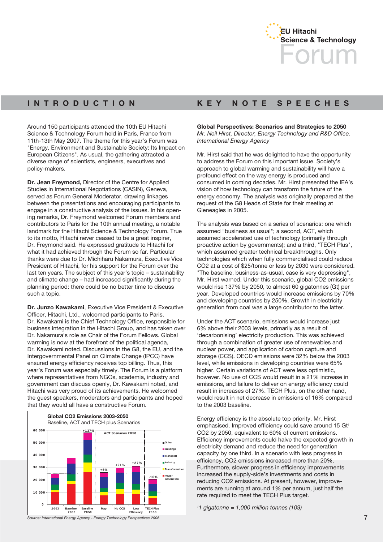

Around 150 participants attended the 10th EU Hitachi Science & Technology Forum held in Paris, France from 11th-13th May 2007. The theme for this year's Forum was "Energy, Environment and Sustainable Society: Its Impact on European Citizens". As usual, the gathering attracted a diverse range of scientists, engineers, executives and policy-makers.

**Dr. Jean Freymond,** Director of the Centre for Applied Studies in International Negotiations (CASIN), Geneva, served as Forum General Moderator, drawing linkages between the presentations and encouraging participants to engage in a constructive analysis of the issues. In his opening remarks, Dr. Freymond welcomed Forum members and contributors to Paris for the 10th annual meeting, a notable landmark for the Hitachi Science & Technology Forum. True to its motto, Hitachi never ceased to be a great inspirer, Dr. Freymond said. He expressed gratitude to Hitachi for what it had achieved through the Forum so far. Particular thanks were due to Dr. Michiharu Nakamura, Executive Vice President of Hitachi, for his support for the Forum over the last ten years. The subject of this year's topic – sustainability and climate change – had increased significantly during the planning period: there could be no better time to discuss such a topic.

**Dr. Junzo Kawakami**, Executive Vice President & Executive Officer, Hitachi, Ltd., welcomed participants to Paris. Dr. Kawakami is the Chief Technology Office, responsible for business integration in the Hitachi Group, and has taken over Dr. Nakamura's role as Chair of the Forum Fellows. Global warming is now at the forefront of the political agenda, Dr. Kawakami noted. Discussions in the G8, the EU, and the Intergovernmental Panel on Climate Change (IPCC) have ensured energy efficiency receives top billing. Thus, this year's Forum was especially timely. The Forum is a platform where representatives from NGOs, academia, industry and government can discuss openly, Dr. Kawakami noted, and Hitachi was very proud of its achievements. He welcomed the guest speakers, moderators and participants and hoped that they would all have a constructive Forum.



# **INTRODUCTION KEY NOTE SPEECHES**

**Global Perspectives: Scenarios and Strategies to 2050** *Mr. Neil Hirst, Director, Energy Technology and R&D Office, International Energy Agency*

Mr. Hirst said that he was delighted to have the opportunity to address the Forum on this important issue. Society's approach to global warming and sustainability will have a profound effect on the way energy is produced and consumed in coming decades. Mr. Hirst presented the IEA's vision of how technology can transform the future of the energy economy. The analysis was originally prepared at the request of the G8 Heads of State for their meeting at Gleneagles in 2005.

The analysis was based on a series of scenarios: one which assumed "business as usual"; a second, ACT, which assumed accelerated use of technology (primarily through proactive action by governments); and a third, "TECH Plus", which assumed greater technical breakthroughs. Only technologies which when fully commercialised could reduce CO2 at a cost of \$25/tonne or less by 2030 were considered. "The baseline, business-as-usual, case is very depressing", Mr. Hirst warned. Under this scenario, global CO2 emissions would rise 137% by 2050, to almost 60 gigatonnes (Gt) per year. Developed countries would increase emissions by 70% and developing countries by 250%. Growth in electricity generation from coal was a large contributor to the latter.

Under the ACT scenario, emissions would increase just 6% above their 2003 levels, primarily as a result of 'decarbonising' electricity production. This was achieved through a combination of greater use of renewables and nuclear power, and application of carbon capture and storage (CCS). OECD emissions were 32% below the 2003 level, while emissions in developing countries were 65% higher. Certain variations of ACT were less optimistic, however. No use of CCS would result in a 21% increase in emissions, and failure to deliver on energy efficiency could result in increases of 27%. TECH Plus, on the other hand, would result in net decrease in emissions of 16% compared to the 2003 baseline.

Energy efficiency is the absolute top priority, Mr. Hirst emphasised. Improved efficiency could save around 15 Gt<sup>1</sup> CO2 by 2050, equivalent to 60% of current emissions. Efficiency improvements could halve the expected growth in electricity demand and reduce the need for generation capacity by one third. In a scenario with less progress in efficiency, CO2 emissions increased more than 20%. Furthermore, slower progress in efficiency improvements increased the supply-side's investments and costs in reducing CO2 emissions. At present, however, improvements are running at around 1% per annum, just half the rate required to meet the TECH Plus target.

*Source: International Energy Agency - Energy Technology Perspectives 2006*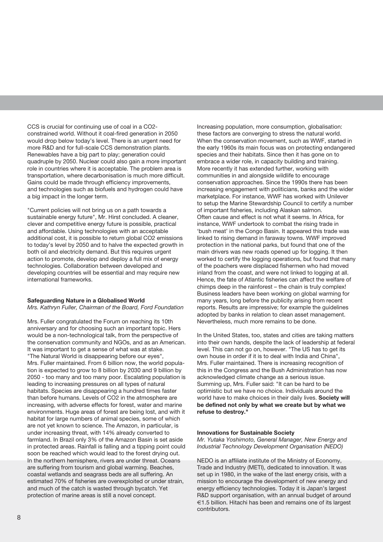CCS is crucial for continuing use of coal in a CO2 constrained world. Without it coal-fired generation in 2050 would drop below today's level. There is an urgent need for more R&D and for full-scale CCS demonstration plants. Renewables have a big part to play; generation could quadruple by 2050. Nuclear could also gain a more important role in countries where it is acceptable. The problem area is transportation, where decarbonisation is much more difficult. Gains could be made through efficiency improvements, and technologies such as biofuels and hydrogen could have a big impact in the longer term.

"Current policies will not bring us on a path towards a sustainable energy future", Mr. Hirst concluded. A cleaner, clever and competitive energy future is possible, practical and affordable. Using technologies with an acceptable additional cost, it is possible to return global CO2 emissions to today's level by 2050 and to halve the expected growth in both oil and electricity demand. But this requires urgent action to promote, develop and deploy a full mix of energy technologies. Collaboration between developed and developing countries will be essential and may require new international frameworks.

# **Safeguarding Nature in a Globalised World**

*Mrs. Kathryn Fuller, Chairman of the Board, Ford Foundation*

Mrs. Fuller congratulated the Forum on reaching its 10th anniversary and for choosing such an important topic. Hers would be a non-technological talk, from the perspective of the conservation community and NGOs, and as an American. It was important to get a sense of what was at stake. "The Natural World is disappearing before our eyes", Mrs. Fuller maintained. From 6 billion now, the world population is expected to grow to 8 billion by 2030 and 9 billion by 2050 - too many and too many poor. Escalating population is leading to increasing pressures on all types of natural habitats. Species are disappearing a hundred times faster than before humans. Levels of CO2 in the atmosphere are increasing, with adverse effects for forest, water and marine environments. Huge areas of forest are being lost, and with it habitat for large numbers of animal species, some of which are not yet known to science. The Amazon, in particular, is under increasing threat, with 14% already converted to farmland. In Brazil only 3% of the Amazon Basin is set aside in protected areas. Rainfall is falling and a tipping point could soon be reached which would lead to the forest drying out. In the northern hemisphere, rivers are under threat. Oceans are suffering from tourism and global warming. Beaches, coastal wetlands and seagrass beds are all suffering. An estimated 70% of fisheries are overexploited or under strain, and much of the catch is wasted through bycatch. Yet protection of marine areas is still a novel concept.

Increasing population, more consumption, globalisation: these factors are converging to stress the natural world. When the conservation movement, such as WWF, started in the early 1960s its main focus was on protecting endangered species and their habitats. Since then it has gone on to embrace a wider role, in capacity building and training. More recently it has extended further, working with communities in and alongside wildlife to encourage conservation approaches. Since the 1990s there has been increasing engagement with politicians, banks and the wider marketplace. For instance, WWF has worked with Unilever to setup the Marine Stewardship Council to certify a number of important fisheries, including Alaskan salmon. Often cause and effect is not what it seems. In Africa, for instance, WWF undertook to combat the rising trade in 'bush meat' in the Congo Basin. It appeared this trade was linked to rising demand in faraway towns. WWF improved protection in the national parks, but found that one of the main drivers was new roads opened up for logging. It then worked to certify the logging operations, but found that many of the poachers were displaced fishermen who had moved inland from the coast, and were not linked to logging at all. Hence, the fate of Atlantic fisheries can affect the welfare of chimps deep in the rainforest – the chain is truly complex! Business leaders have been working on global warming for many years, long before the publicity arising from recent reports. Results are impressive; for example the guidelines adopted by banks in relation to clean asset management. Nevertheless, much more remains to be done.

In the United States, too, states and cities are taking matters into their own hands, despite the lack of leadership at federal level. This can not go on, however. "The US has to get its own house in order if it is to deal with India and China", Mrs. Fuller maintained. There is increasing recognition of this in the Congress and the Bush Administration has now acknowledged climate change as a serious issue. Summing up, Mrs. Fuller said: "It can be hard to be optimistic but we have no choice. Individuals around the world have to make choices in their daily lives. **Society will be defined not only by what we create but by what we refuse to destroy."**

### **Innovations for Sustainable Society**

*Mr. Yutaka Yoshimoto, General Manager, New Energy and Industrial Technology Development Organisation (NEDO)*

NEDO is an affiliate institute of the Ministry of Economy, Trade and Industry (METI), dedicated to innovation. It was set up in 1980, in the wake of the last energy crisis, with a mission to encourage the development of new energy and energy efficiency technologies. Today it is Japan's largest R&D support organisation, with an annual budget of around €1.5 billion. Hitachi has been and remains one of its largest contributors.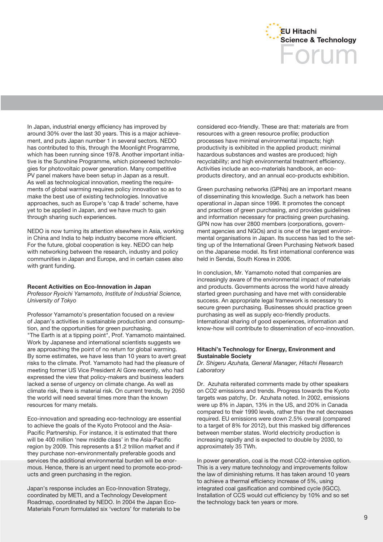

In Japan, industrial energy efficiency has improved by around 30% over the last 30 years. This is a major achievement, and puts Japan number 1 in several sectors. NEDO has contributed to this, through the Moonlight Programme, which has been running since 1978. Another important initiative is the Sunshine Programme, which pioneered technologies for photovoltaic power generation. Many competitive PV panel makers have been setup in Japan as a result. As well as technological innovation, meeting the requirements of global warming requires policy innovation so as to make the best use of existing technologies. Innovative approaches, such as Europe's 'cap & trade' scheme, have yet to be applied in Japan, and we have much to gain through sharing such experiences.

NEDO is now turning its attention elsewhere in Asia, working in China and India to help industry become more efficient. For the future, global cooperation is key. NEDO can help with networking between the research, industry and policy communities in Japan and Europe, and in certain cases also with grant funding.

### **Recent Activities on Eco-Innovation in Japan**

*Professor Ryoichi Yamamoto, Institute of Industrial Science, University of Tokyo*

Professor Yamamoto's presentation focused on a review of Japan's activities in sustainable production and consumption, and the opportunities for green purchasing. "The Earth is at a tipping point", Prof. Yamamoto maintained. Work by Japanese and international scientists suggests we are approaching the point of no return for global warming. By some estimates, we have less than 10 years to avert great risks to the climate. Prof. Yamamoto had had the pleasure of meeting former US Vice President Al Gore recently, who had expressed the view that policy-makers and business leaders lacked a sense of urgency on climate change. As well as climate risk, there is material risk. On current trends, by 2050 the world will need several times more than the known resources for many metals.

Eco-innovation and spreading eco-technology are essential to achieve the goals of the Kyoto Protocol and the Asia-Pacific Partnership. For instance, it is estimated that there will be 400 million 'new middle class' in the Asia-Pacific region by 2009. This represents a \$1.2 trillion market and if they purchase non-environmentally preferable goods and services the additional environmental burden will be enormous. Hence, there is an urgent need to promote eco-products and green purchasing in the region.

Japan's response includes an Eco-Innovation Strategy, coordinated by METI, and a Technology Development Roadmap, coordinated by NEDO. In 2004 the Japan Eco-Materials Forum formulated six 'vectors' for materials to be considered eco-friendly. These are that: materials are from resources with a green resource profile; production processes have minimal environmental impacts; high productivity is exhibited in the applied product; minimal hazardous substances and wastes are produced; high recyclability; and high environmental treatment efficiency. Activities include an eco-materials handbook, an ecoproducts directory, and an annual eco-products exhibition.

Green purchasing networks (GPNs) are an important means of disseminating this knowledge. Such a network has been operational in Japan since 1996. It promotes the concept and practices of green purchasing, and provides guidelines and information necessary for practising green purchasing. GPN now has over 2800 members (corporations, government agencies and NGOs) and is one of the largest environmental organisations in Japan. Its success has led to the setting up of the International Green Purchasing Network based on the Japanese model. Its first international conference was held in Sendai, South Korea in 2006.

In conclusion, Mr. Yamamoto noted that companies are increasingly aware of the environmental impact of materials and products. Governments across the world have already started green purchasing and have met with considerable success. An appropriate legal framework is necessary to secure green purchasing. Businesses should practice green purchasing as well as supply eco-friendly products. International sharing of good experiences, information and know-how will contribute to dissemination of eco-innovation.

# **Hitachi's Technology for Energy, Environment and Sustainable Society**

*Dr. Shigeru Azuhata, General Manager, Hitachi Research Laboratory*

Dr. Azuhata reiterated comments made by other speakers on CO2 emissions and trends. Progress towards the Kyoto targets was patchy, Dr. Azuhata noted. In 2002, emissions were up 8% in Japan, 13% in the US, and 20% in Canada compared to their 1990 levels, rather than the net decreases required. EU emissions were down 2.5% overall (compared to a target of 8% for 2012), but this masked big differences between member states. World electricity production is increasing rapidly and is expected to double by 2030, to approximately 35 TWh.

In power generation, coal is the most CO2-intensive option. This is a very mature technology and improvements follow the law of diminishing returns. It has taken around 10 years to achieve a thermal efficiency increase of 5%, using integrated coal gasification and combined cycle (IGCC). Installation of CCS would cut efficiency by 10% and so set the technology back ten years or more.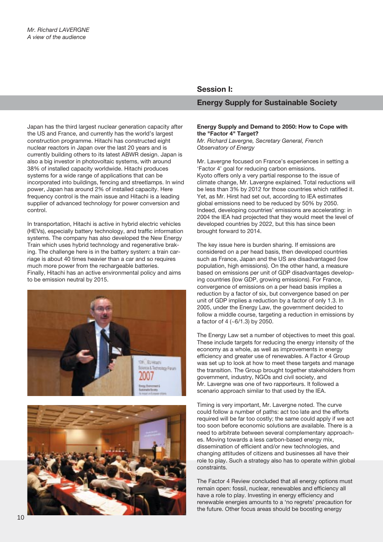# **Session I:**

**Energy Supply for Sustainable Society**

### **Energy Supply and Demand to 2050: How to Cope with the "Factor 4" Target?**

*Mr. Richard Lavergne, Secretary General, French Observatory of Energy*

Mr. Lavergne focused on France's experiences in setting a 'Factor 4' goal for reducing carbon emissions. Kyoto offers only a very partial response to the issue of climate change, Mr. Lavergne explained. Total reductions will be less than 3% by 2012 for those countries which ratified it. Yet, as Mr. Hirst had set out, according to IEA estimates global emissions need to be reduced by 50% by 2050. Indeed, developing countries' emissions are accelerating: in 2004 the IEA had projected that they would meet the level of developed countries by 2022, but this has since been brought forward to 2014.

The key issue here is burden sharing. If emissions are considered on a per head basis, then developed countries such as France, Japan and the US are disadvantaged (low population, high emissions). On the other hand, a measure based on emissions per unit of GDP disadvantages developing countries (low GDP, growing emissions). For France, convergence of emissions on a per head basis implies a reduction by a factor of six, but convergence based on per unit of GDP implies a reduction by a factor of only 1.3. In 2005, under the Energy Law, the government decided to follow a middle course, targeting a reduction in emissions by a factor of 4 (~6/1.3) by 2050.

The Energy Law set a number of objectives to meet this goal. These include targets for reducing the energy intensity of the economy as a whole, as well as improvements in energy efficiency and greater use of renewables. A Factor 4 Group was set up to look at how to meet these targets and manage the transition. The Group brought together stakeholders from government, industry, NGOs and civil society, and Mr. Lavergne was one of two rapporteurs. It followed a scenario approach similar to that used by the IEA.

Timing is very important, Mr. Lavergne noted. The curve could follow a number of paths: act too late and the efforts required will be far too costly; the same could apply if we act too soon before economic solutions are available. There is a need to arbitrate between several complementary approaches. Moving towards a less carbon-based energy mix, dissemination of efficient and/or new technologies, and changing attitudes of citizens and businesses all have their role to play. Such a strategy also has to operate within global constraints.

The Factor 4 Review concluded that all energy options must remain open: fossil, nuclear, renewables and efficiency all have a role to play. Investing in energy efficiency and renewable energies amounts to a 'no regrets' precaution for the future. Other focus areas should be boosting energy

Japan has the third largest nuclear generation capacity after the US and France, and currently has the world's largest construction programme. Hitachi has constructed eight nuclear reactors in Japan over the last 20 years and is currently building others to its latest ABWR design. Japan is also a big investor in photovoltaic systems, with around 38% of installed capacity worldwide. Hitachi produces systems for a wide range of applications that can be incorporated into buildings, fencing and streetlamps. In wind power, Japan has around 2% of installed capacity. Here frequency control is the main issue and Hitachi is a leading supplier of advanced technology for power conversion and control.

In transportation, Hitachi is active in hybrid electric vehicles (HEVs), especially battery technology, and traffic information systems. The company has also developed the New Energy Train which uses hybrid technology and regenerative braking. The challenge here is in the battery system: a train carriage is about 40 times heavier than a car and so requires much more power from the rechargeable batteries. Finally, Hitachi has an active environmental policy and aims to be emission neutral by 2015.



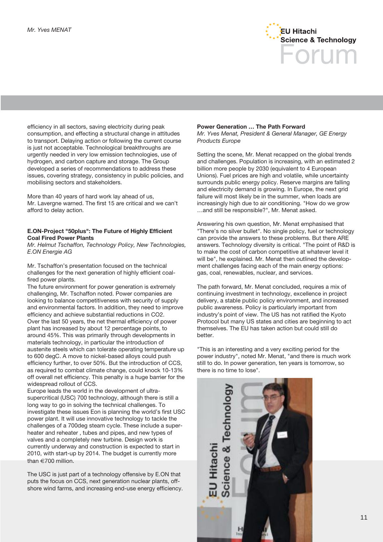

efficiency in all sectors, saving electricity during peak consumption, and effecting a structural change in attitudes to transport. Delaying action or following the current course is just not acceptable. Technological breakthroughs are urgently needed in very low emission technologies, use of hydrogen, and carbon capture and storage. The Group developed a series of recommendations to address these issues, covering strategy, consistency in public policies, and mobilising sectors and stakeholders.

More than 40 years of hard work lay ahead of us, Mr. Lavergne warned. The first 15 are critical and we can't afford to delay action.

### **E.ON-Project "50plus": The Future of Highly Efficient Coal Fired Power Plants**

*Mr. Helmut Tschaffon, Technology Policy, New Technologies, E.ON Energie AG*

Mr. Tschaffon's presentation focused on the technical challenges for the next generation of highly efficient coalfired power plants.

The future environment for power generation is extremely challenging, Mr. Tschaffon noted. Power companies are looking to balance competitiveness with security of supply and environmental factors. In addition, they need to improve efficiency and achieve substantial reductions in CO2. Over the last 50 years, the net thermal efficiency of power plant has increased by about 12 percentage points, to around 45%. This was primarily through developments in materials technology, in particular the introduction of austenite steels which can tolerate operating temperature up to 600 degC. A move to nickel-based alloys could push efficiency further, to over 50%. But the introduction of CCS, as required to combat climate change, could knock 10-13% off overall net efficiency. This penalty is a huge barrier for the widespread rollout of CCS.

Europe leads the world in the development of ultrasupercritical (USC) 700 technology, although there is still a long way to go in solving the technical challenges. To investigate these issues Eon is planning the world's first USC power plant. It will use innovative technology to tackle the challenges of a 700deg steam cycle. These include a superheater and reheater , tubes and pipes, and new types of valves and a completely new turbine. Design work is currently underway and construction is expected to start in 2010, with start-up by 2014. The budget is currently more than €700 million.

The USC is just part of a technology offensive by E.ON that puts the focus on CCS, next generation nuclear plants, offshore wind farms, and increasing end-use energy efficiency.

# **Power Generation … The Path Forward**

*Mr. Yves Menat, President & General Manager, GE Energy Products Europe*

Setting the scene, Mr. Menat recapped on the global trends and challenges. Population is increasing, with an estimated 2 billion more people by 2030 (equivalent to 4 European Unions). Fuel prices are high and volatile, while uncertainty surrounds public energy policy. Reserve margins are falling and electricity demand is growing. In Europe, the next grid failure will most likely be in the summer, when loads are increasingly high due to air conditioning. "How do we grow …and still be responsible?", Mr. Menat asked.

Answering his own question, Mr. Menat emphasised that "There's no silver bullet". No single policy, fuel or technology can provide the answers to these problems. But there ARE answers. Technology diversity is critical. "The point of R&D is to make the cost of carbon competitive at whatever level it will be", he explained. Mr. Menat then outlined the development challenges facing each of the main energy options: gas, coal, renewables, nuclear, and services.

The path forward, Mr. Menat concluded, requires a mix of continuing investment in technology, excellence in project delivery, a stable public policy environment, and increased public awareness. Policy is particularly important from industry's point of view. The US has not ratified the Kyoto Protocol but many US states and cities are beginning to act themselves. The EU has taken action but could still do better.

"This is an interesting and a very exciting period for the power industry", noted Mr. Menat, "and there is much work still to do. In power generation, ten years is tomorrow, so there is no time to lose".

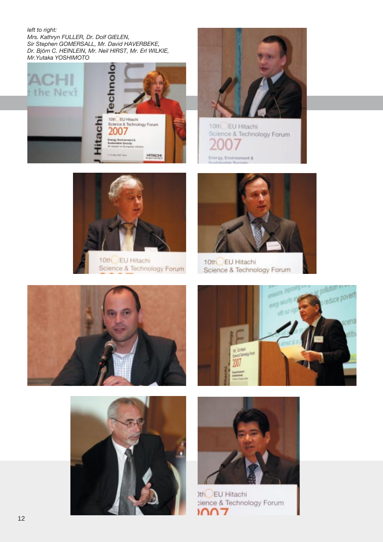# *left to right:*

*Mrs. Kathryn FULLER, Dr. Dolf GIELEN, Sir Stephen GOMERSALL, Mr. David HAVERBEKE, Dr. Björn C. HEINLEIN, Mr. Neil HIRST, Mr. Erl WILKIE, Mr.Yutaka YOSHIMOTO*





10th\_EU Hitachi Science & Technology Forum Energy, Environment &



10th\_EU Hitachi Science & Technology Forum



10th\_EU Hitachi Science & Technology Forum









Ith. EU Hitachi cience & Technology Forum  $007$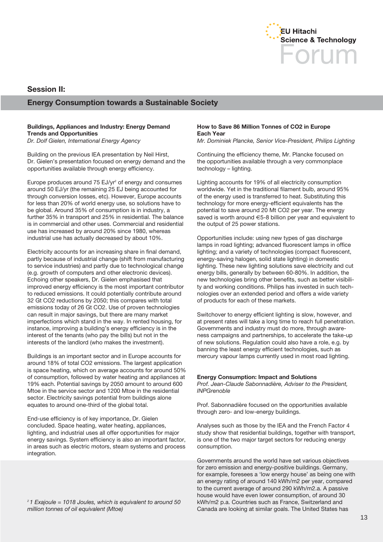

# **Session II:**

# **Energy Consumption towards a Sustainable Society**

# **Buildings, Appliances and Industry: Energy Demand Trends and Opportunities**

*Dr. Dolf Gielen, International Energy Agency*

Building on the previous IEA presentation by Neil Hirst, Dr. Gielen's presentation focused on energy demand and the opportunities available through energy efficiency.

Europe produces around 75 EJ/yr<sup>2</sup> of energy and consumes around 50 EJ/yr (the remaining 25 EJ being accounted for through conversion losses, etc). However, Europe accounts for less than 20% of world energy use, so solutions have to be global. Around 35% of consumption is in industry, a further 35% in transport and 25% in residential. The balance is in commercial and other uses. Commercial and residential use has increased by around 20% since 1980, whereas industrial use has actually decreased by about 10%.

Electricity accounts for an increasing share in final demand, partly because of industrial change (shift from manufacturing to service industries) and partly due to technological change (e.g. growth of computers and other electronic devices). Echoing other speakers, Dr. Gielen emphasised that improved energy efficiency is the most important contributor to reduced emissions. It could potentially contribute around 32 Gt CO2 reductions by 2050; this compares with total emissions today of 26 Gt CO2. Use of proven technologies can result in major savings, but there are many market imperfections which stand in the way. In rented housing, for instance, improving a building's energy efficiency is in the interest of the tenants (who pay the bills) but not in the interests of the landlord (who makes the investment).

Buildings is an important sector and in Europe accounts for around 18% of total CO2 emissions. The largest application is space heating, which on average accounts for around 50% of consumption, followed by water heating and appliances at 19% each. Potential savings by 2050 amount to around 600 Mtoe in the service sector and 1200 Mtoe in the residential sector. Electricity savings potential from buildings alone equates to around one-third of the global total.

End-use efficiency is of key importance, Dr. Gielen concluded. Space heating, water heating, appliances, lighting, and industrial uses all offer opportunities for major energy savings. System efficiency is also an important factor, in areas such as electric motors, steam systems and process integration.

# *2 1 Exajoule = 1018 Joules, which is equivalent to around 50 million tonnes of oil equivalent (Mtoe)*

# **How to Save 86 Million Tonnes of CO2 in Europe Each Year**

*Mr. Dominiek Plancke, Senior Vice-President, Philips Lighting*

Continuing the efficiency theme, Mr. Plancke focused on the opportunities available through a very commonplace technology – lighting.

Lighting accounts for 19% of all electricity consumption worldwide. Yet in the traditional filament bulb, around 95% of the energy used is transferred to heat. Substituting this technology for more energy-efficient equivalents has the potential to save around 20 Mt CO2 per year. The energy saved is worth around €5-8 billion per year and equivalent to the output of 25 power stations.

Opportunities include: using new types of gas discharge lamps in road lighting; advanced fluorescent lamps in office lighting; and a variety of technologies (compact fluorescent, energy-saving halogen, solid state lighting) in domestic lighting. These new lighting solutions save electricity and cut energy bills, generally by between 60-80%. In addition, the new technologies bring other benefits, such as better visibility and working conditions. Philips has invested in such technologies over an extended period and offers a wide variety of products for each of these markets.

Switchover to energy efficient lighting is slow, however, and at present rates will take a long time to reach full penetration. Governments and industry must do more, through awareness campaigns and partnerships, to accelerate the take-up of new solutions. Regulation could also have a role, e.g. by banning the least energy efficient technologies, such as mercury vapour lamps currently used in most road lighting.

### **Energy Consumption: Impact and Solutions**

*Prof. Jean-Claude Sabonnadière, Adviser to the President, INPGrenoble*

Prof. Sabonnadière focused on the opportunities available through zero- and low-energy buildings.

Analyses such as those by the IEA and the French Factor 4 study show that residential buildings, together with transport, is one of the two major target sectors for reducing energy consumption.

Governments around the world have set various objectives for zero emission and energy-positive buildings. Germany, for example, foresees a 'low energy house' as being one with an energy rating of around 140 kWh/m2 per year, compared to the current average of around 290 kWh/m2.a. A passive house would have even lower consumption, of around 30 kWh/m2 p.a. Countries such as France, Switzerland and Canada are looking at similar goals. The United States has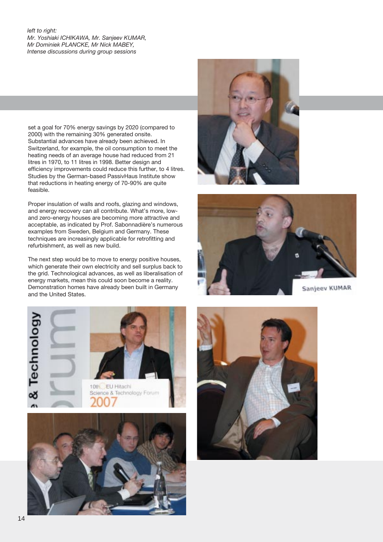# *left to right: Mr. Yoshiaki ICHIKAWA, Mr. Sanjeev KUMAR, Mr Dominiek PLANCKE, Mr Nick MABEY, Intense discussions during group sessions*

set a goal for 70% energy savings by 2020 (compared to 2000) with the remaining 30% generated onsite. Substantial advances have already been achieved. In Switzerland, for example, the oil consumption to meet the heating needs of an average house had reduced from 21 litres in 1970, to 11 litres in 1998. Better design and efficiency improvements could reduce this further, to 4 litres. Studies by the German-based PassivHaus Institute show that reductions in heating energy of 70-90% are quite feasible.

Proper insulation of walls and roofs, glazing and windows, and energy recovery can all contribute. What's more, lowand zero-energy houses are becoming more attractive and acceptable, as indicated by Prof. Sabonnadière's numerous examples from Sweden, Belgium and Germany. These techniques are increasingly applicable for retrofitting and refurbishment, as well as new build.

The next step would be to move to energy positive houses, which generate their own electricity and sell surplus back to the grid. Technological advances, as well as liberalisation of energy markets, mean this could soon become a reality. Demonstration homes have already been built in Germany and the United States.









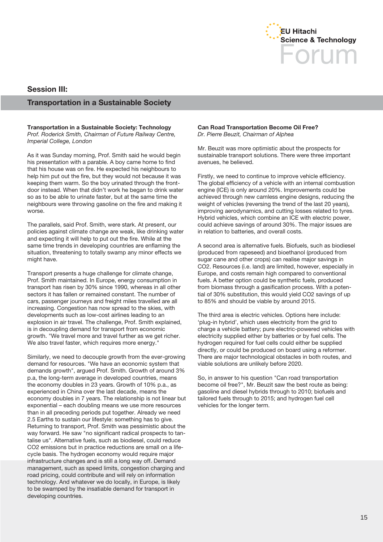

# **Session III:**

# **Transportation in a Sustainable Society**

**Transportation in a Sustainable Society: Technology** *Prof. Roderick Smith, Chairman of Future Railway Centre, Imperial College, London*

As it was Sunday morning, Prof. Smith said he would begin his presentation with a parable. A boy came home to find that his house was on fire. He expected his neighbours to help him put out the fire, but they would not because it was keeping them warm. So the boy urinated through the frontdoor instead. When that didn't work he began to drink water so as to be able to urinate faster, but at the same time the neighbours were throwing gasoline on the fire and making it worse.

The parallels, said Prof. Smith, were stark. At present, our policies against climate change are weak, like drinking water and expecting it will help to put out the fire. While at the same time trends in developing countries are enflaming the situation, threatening to totally swamp any minor effects we might have.

Transport presents a huge challenge for climate change, Prof. Smith maintained. In Europe, energy consumption in transport has risen by 30% since 1990, whereas in all other sectors it has fallen or remained constant. The number of cars, passenger journeys and freight miles travelled are all increasing. Congestion has now spread to the skies, with developments such as low-cost airlines leading to an explosion in air travel. The challenge, Prof. Smith explained, is in decoupling demand for transport from economic growth. "We travel more and travel further as we get richer. We also travel faster, which requires more energy."

Similarly, we need to decouple growth from the ever-growing demand for resources. "We have an economic system that demands growth", argued Prof. Smith. Growth of around 3% p.a, the long-term average in developed countries, means the economy doubles in 23 years. Growth of 10% p.a., as experienced in China over the last decade, means the economy doubles in 7 years. The relationship is not linear but exponential – each doubling means we use more resources than in all preceding periods put together. Already we need 2.5 Earths to sustain our lifestyle: something has to give. Returning to transport, Prof. Smith was pessimistic about the way forward. He saw "no significant radical prospects to tantalise us". Alternative fuels, such as biodiesel, could reduce CO2 emissions but in practice reductions are small on a lifecycle basis. The hydrogen economy would require major infrastructure changes and is still a long way off. Demand management, such as speed limits, congestion charging and road pricing, could contribute and will rely on information technology. And whatever we do locally, in Europe, is likely to be swamped by the insatiable demand for transport in developing countries.

# **Can Road Transportation Become Oil Free?**

*Dr. Pierre Beuzit, Chairman of Alphea*

Mr. Beuzit was more optimistic about the prospects for sustainable transport solutions. There were three important avenues, he believed.

Firstly, we need to continue to improve vehicle efficiency. The global efficiency of a vehicle with an internal combustion engine (ICE) is only around 20%. Improvements could be achieved through new camless engine designs, reducing the weight of vehicles (reversing the trend of the last 20 years), improving aerodynamics, and cutting losses related to tyres. Hybrid vehicles, which combine an ICE with electric power, could achieve savings of around 30%. The major issues are in relation to batteries, and overall costs.

A second area is alternative fuels. Biofuels, such as biodiesel (produced from rapeseed) and bioethanol (produced from sugar cane and other crops) can realise major savings in CO2. Resources (i.e. land) are limited, however, especially in Europe, and costs remain high compared to conventional fuels. A better option could be synthetic fuels, produced from biomass through a gasification process. With a potential of 30% substitution, this would yield CO2 savings of up to 85% and should be viable by around 2015.

The third area is electric vehicles. Options here include: 'plug-in hybrid', which uses electricity from the grid to charge a vehicle battery; pure electric-powered vehicles with electricity supplied either by batteries or by fuel cells. The hydrogen required for fuel cells could either be supplied directly, or could be produced on board using a reformer. There are major technological obstacles in both routes, and viable solutions are unlikely before 2020.

So, in answer to his question "Can road transportation become oil free?", Mr. Beuzit saw the best route as being: gasoline and diesel hybrids through to 2010; biofuels and tailored fuels through to 2015; and hydrogen fuel cell vehicles for the longer term.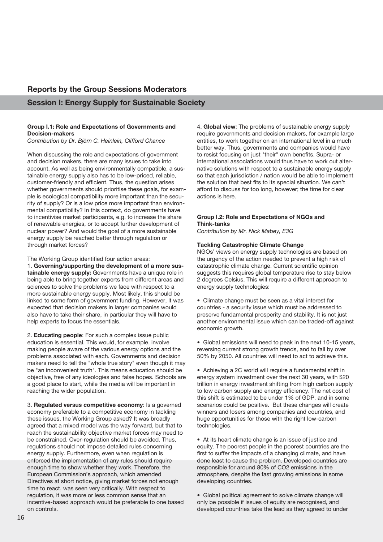# **Group I.1: Role and Expectations of Governments and Decision-makers**

*Contribution by Dr. Björn C. Heinlein, Clifford Chance*

When discussing the role and expectations of government and decision makers, there are many issues to take into account. As well as being environmentally compatible, a sustainable energy supply also has to be low-priced, reliable, customer-friendly and efficient. Thus, the question arises whether governments should prioritise these goals, for example is ecological compatibility more important than the security of supply? Or is a low price more important than environmental compatibility? In this context, do governments have to incentivise market participants, e.g. to increase the share of renewable energies, or to accept further development of nuclear power? And would the goal of a more sustainable energy supply be reached better through regulation or through market forces?

The Working Group identified four action areas:

1. **Governing/supporting the development of a more sustainable energy supply:** Governments have a unique role in being able to bring together experts from different areas and sciences to solve the problems we face with respect to a more sustainable energy supply. Most likely, this should be linked to some form of government funding. However, it was expected that decision makers in larger companies would also have to take their share, in particular they will have to help experts to focus the essentials.

2. **Educating people**: For such a complex issue public education is essential. This would, for example, involve making people aware of the various energy options and the problems associated with each. Governments and decision makers need to tell the "whole true story" even though it may be "an inconvenient truth". This means education should be objective, free of any ideologies and false hopes. Schools are a good place to start, while the media will be important in reaching the wider population.

3. **Regulated versus competitive economy**: Is a governed economy preferable to a competitive economy in tackling these issues, the Working Group asked? It was broadly agreed that a mixed model was the way forward, but that to reach the sustainability objective market forces may need to be constrained. Over-regulation should be avoided. Thus, regulations should not impose detailed rules concerning energy supply. Furthermore, even when regulation is enforced the implementation of any rules should require enough time to show whether they work. Therefore, the European Commission's approach, which amended Directives at short notice, giving market forces not enough time to react, was seen very critically. With respect to regulation, it was more or less common sense that an incentive-based approach would be preferable to one based on controls.

4. **Global view**: The problems of sustainable energy supply require governments and decision makers, for example large entities, to work together on an international level in a much better way. Thus, governments and companies would have to resist focusing on just "their" own benefits. Supra- or international associations would thus have to work out alternative solutions with respect to a sustainable energy supply so that each jurisdiction / nation would be able to implement the solution that best fits to its special situation. We can't afford to discuss for too long, however; the time for clear actions is here.

# **Group I.2: Role and Expectations of NGOs and Think-tanks**

*Contribution by Mr. Nick Mabey, E3G*

### **Tackling Catastrophic Climate Change**

NGOs' views on energy supply technologies are based on the urgency of the action needed to prevent a high risk of catastrophic climate change. Current scientific opinion suggests this requires global temperature rise to stay below 2 degrees Celsius. This will require a different approach to energy supply technologies:

• Climate change must be seen as a vital interest for countries - a security issue which must be addressed to preserve fundamental prosperity and stability. It is not just another environmental issue which can be traded-off against economic growth.

• Global emissions will need to peak in the next 10-15 years, reversing current strong growth trends, and to fall by over 50% by 2050. All countries will need to act to achieve this.

• Achieving a 2C world will require a fundamental shift in energy system investment over the next 30 years, with \$20 trillion in energy investment shifting from high carbon supply to low carbon supply and energy efficiency. The net cost of this shift is estimated to be under 1% of GDP, and in some scenarios could be positive. But these changes will create winners and losers among companies and countries, and huge opportunities for those with the right low-carbon technologies.

• At its heart climate change is an issue of justice and equity. The poorest people in the poorest countries are the first to suffer the impacts of a changing climate, and have done least to cause the problem. Developed countries are responsible for around 80% of CO2 emissions in the atmosphere, despite the fast growing emissions in some developing countries.

• Global political agreement to solve climate change will only be possible if issues of equity are recognised, and developed countries take the lead as they agreed to under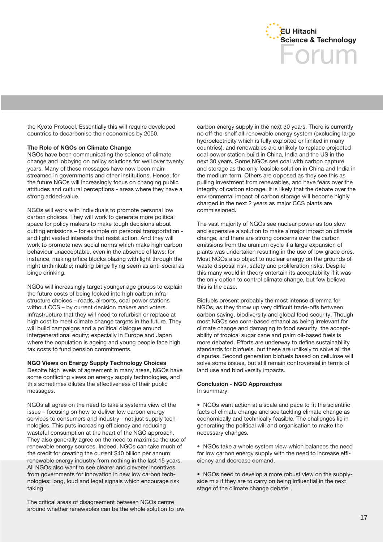

the Kyoto Protocol. Essentially this will require developed countries to decarbonise their economies by 2050.

### **The Role of NGOs on Climate Change**

NGOs have been communicating the science of climate change and lobbying on policy solutions for well over twenty years. Many of these messages have now been mainstreamed in governments and other institutions. Hence, for the future NGOs will increasingly focus on changing public attitudes and cultural perceptions - areas where they have a strong added-value.

NGOs will work with individuals to promote personal low carbon choices. They will work to generate more political space for policy makers to make tough decisions about cutting emissions – for example on personal transportation and fight vested interests that resist action. And they will work to promote new social norms which make high carbon behaviour unacceptable, even in the absence of laws: for instance, making office blocks blazing with light through the night unthinkable; making binge flying seem as anti-social as binge drinking.

NGOs will increasingly target younger age groups to explain the future costs of being locked into high carbon infrastructure choices – roads, airports, coal power stations without CCS – by current decision makers and voters. Infrastructure that they will need to refurbish or replace at high cost to meet climate change targets in the future. They will build campaigns and a political dialogue around intergenerational equity; especially in Europe and Japan where the population is ageing and young people face high tax costs to fund pension commitments.

# **NGO Views on Energy Supply Technology Choices**

Despite high levels of agreement in many areas, NGOs have some conflicting views on energy supply technologies, and this sometimes dilutes the effectiveness of their public messages.

NGOs all agree on the need to take a systems view of the issue – focusing on how to deliver low carbon energy services to consumers and industry - not just supply technologies. This puts increasing efficiency and reducing wasteful consumption at the heart of the NGO approach. They also generally agree on the need to maximise the use of renewable energy sources. Indeed, NGOs can take much of the credit for creating the current \$40 billion per annum renewable energy industry from nothing in the last 15 years. All NGOs also want to see clearer and cleverer incentives from governments for innovation in new low carbon technologies; long, loud and legal signals which encourage risk taking.

The critical areas of disagreement between NGOs centre around whether renewables can be the whole solution to low carbon energy supply in the next 30 years. There is currently no off-the-shelf all-renewable energy system (excluding large hydroelectricity which is fully exploited or limited in many countries), and renewables are unlikely to replace projected coal power station build in China, India and the US in the next 30 years. Some NGOs see coal with carbon capture and storage as the only feasible solution in China and India in the medium term. Others are opposed as they see this as pulling investment from renewables, and have fears over the integrity of carbon storage. It is likely that the debate over the environmental impact of carbon storage will become highly charged in the next 2 years as major CCS plants are commissioned.

The vast majority of NGOs see nuclear power as too slow and expensive a solution to make a major impact on climate change, and there are strong concerns over the carbon emissions from the uranium cycle if a large expansion of plants was undertaken resulting in the use of low grade ores. Most NGOs also object to nuclear energy on the grounds of waste disposal risk, safety and proliferation risks. Despite this many would in theory entertain its acceptability if it was the only option to control climate change, but few believe this is the case.

Biofuels present probably the most intense dilemma for NGOs, as they throw up very difficult trade-offs between carbon saving, biodiversity and global food security. Though most NGOs see corn-based ethanol as being irrelevant for climate change and damaging to food security, the acceptability of tropical sugar cane and palm oil-based fuels is more debated. Efforts are underway to define sustainability standards for biofuels, but these are unlikely to solve all the disputes. Second generation biofuels based on cellulose will solve some issues, but still remain controversial in terms of land use and biodiversity impacts.

### **Conclusion - NGO Approaches** In summary:

• NGOs want action at a scale and pace to fit the scientific facts of climate change and see tackling climate change as economically and technically feasible. The challenges lie in generating the political will and organisation to make the necessary changes.

• NGOs take a whole system view which balances the need for low carbon energy supply with the need to increase efficiency and decrease demand.

• NGOs need to develop a more robust view on the supplyside mix if they are to carry on being influential in the next stage of the climate change debate.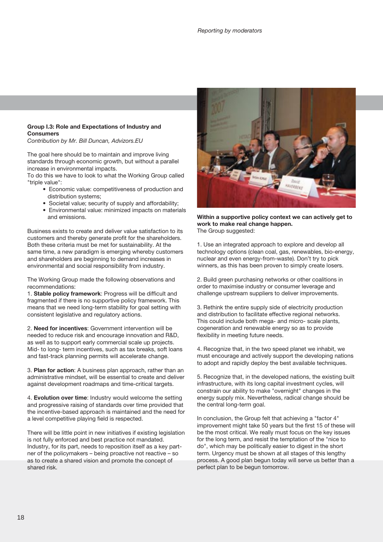# **Group I.3: Role and Expectations of Industry and Consumers**

*Contribution by Mr. Bill Duncan, Advizors.EU*

The goal here should be to maintain and improve living standards through economic growth, but without a parallel increase in environmental impacts.

To do this we have to look to what the Working Group called "triple value":

- Economic value: competitiveness of production and distribution systems;
- Societal value; security of supply and affordability;
- Environmental value: minimized impacts on materials and emissions.

Business exists to create and deliver value satisfaction to its customers and thereby generate profit for the shareholders. Both these criteria must be met for sustainability. At the same time, a new paradigm is emerging whereby customers and shareholders are beginning to demand increases in environmental and social responsibility from industry.

The Working Group made the following observations and recommendations:

1. **Stable policy framework**: Progress will be difficult and fragmented if there is no supportive policy framework. This means that we need long-term stability for goal setting with consistent legislative and regulatory actions.

2. **Need for incentives**: Government intervention will be needed to reduce risk and encourage innovation and R&D, as well as to support early commercial scale up projects. Mid- to long- term incentives, such as tax breaks, soft loans and fast-track planning permits will accelerate change.

3. **Plan for action**: A business plan approach, rather than an administrative mindset, will be essential to create and deliver against development roadmaps and time-critical targets.

4. **Evolution over time**: Industry would welcome the setting and progressive raising of standards over time provided that the incentive-based approach is maintained and the need for a level competitive playing field is respected.

There will be little point in new initiatives if existing legislation is not fully enforced and best practice not mandated. Industry, for its part, needs to reposition itself as a key partner of the policymakers – being proactive not reactive – so as to create a shared vision and promote the concept of shared risk.



**Within a supportive policy context we can actively get to work to make real change happen.** The Group suggested:

1. Use an integrated approach to explore and develop all technology options (clean coal, gas, renewables, bio-energy, nuclear and even energy-from-waste). Don't try to pick winners, as this has been proven to simply create losers.

2. Build green purchasing networks or other coalitions in order to maximise industry or consumer leverage and challenge upstream suppliers to deliver improvements.

3. Rethink the entire supply side of electricity production and distribution to facilitate effective regional networks. This could include both mega- and micro- scale plants, cogeneration and renewable energy so as to provide flexibility in meeting future needs.

4. Recognize that, in the two speed planet we inhabit, we must encourage and actively support the developing nations to adopt and rapidly deploy the best available techniques.

5. Recognize that, in the developed nations, the existing built infrastructure, with its long capital investment cycles, will constrain our ability to make "overnight" changes in the energy supply mix. Nevertheless, radical change should be the central long-term goal.

In conclusion, the Group felt that achieving a "factor 4" improvement might take 50 years but the first 15 of these will be the most critical. We really must focus on the key issues for the long term, and resist the temptation of the "nice to do", which may be politically easier to digest in the short term. Urgency must be shown at all stages of this lengthy process. A good plan begun today will serve us better than a perfect plan to be begun tomorrow.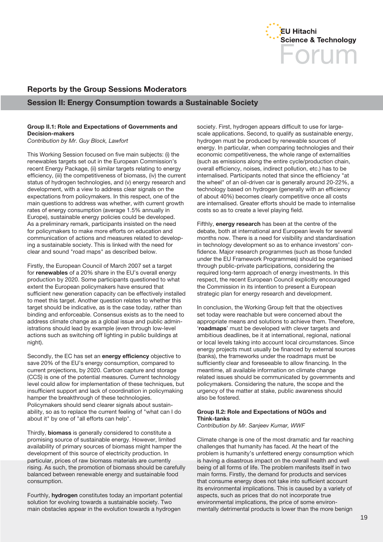

# **Reports by the Group Sessions Moderators**

# **Session II: Energy Consumption towards a Sustainable Society**

# **Group II.1: Role and Expectations of Governments and Decision-makers**

*Contribution by Mr. Guy Block, Lawfort*

This Working Session focused on five main subjects: (i) the renewables targets set out in the European Commission's recent Energy Package, (ii) similar targets relating to energy efficiency, (iii) the competitiveness of biomass, (iv) the current status of hydrogen technologies, and (v) energy research and development, with a view to address clear signals on the expectations from policymakers. In this respect, one of the main questions to address was whether, with current growth rates of energy consumption (average 1.5% annually in Europe), sustainable energy policies could be developed. As a preliminary remark, participants insisted on the need for policymakers to make more efforts on education and communication of actions and measures related to developing a sustainable society. This is linked with the need for clear and sound "road maps" as described below.

Firstly, the European Council of March 2007 set a target for **renewables** of a 20% share in the EU's overall energy production by 2020. Some participants questioned to what extent the European policymakers have ensured that sufficient new generation capacity can be effectively installed to meet this target. Another question relates to whether this target should be indicative, as is the case today, rather than binding and enforceable. Consensus exists as to the need to address climate change as a global issue and public administrations should lead by example (even through low-level actions such as switching off lighting in public buildings at night).

Secondly, the EC has set an **energy efficiency** objective to save 20% of the EU's energy consumption, compared to current projections, by 2020. Carbon capture and storage (CCS) is one of the potential measures. Current technology level could allow for implementation of these techniques, but insufficient support and lack of coordination in policymaking hamper the breakthrough of these technologies. Policymakers should send clearer signals about sustainability, so as to replace the current feeling of "what can I do about it" by one of "all efforts can help".

Thirdly, **biomass** is generally considered to constitute a promising source of sustainable energy. However, limited availability of primary sources of biomass might hamper the development of this source of electricity production. In particular, prices of raw biomass materials are currently rising. As such, the promotion of biomass should be carefully balanced between renewable energy and sustainable food consumption.

Fourthly, **hydrogen** constitutes today an important potential solution for evolving towards a sustainable society. Two main obstacles appear in the evolution towards a hydrogen

society. First, hydrogen appears difficult to use for largescale applications. Second, to qualify as sustainable energy, hydrogen must be produced by renewable sources of energy. In particular, when comparing technologies and their economic competitiveness, the whole range of externalities (such as emissions along the entire cycle/production chain, overall efficiency, noises, indirect pollution, etc.) has to be internalised. Participants noted that since the efficiency "at the wheel" of an oil-driven car is generally around 20-22%, a technology based on hydrogen (generally with an efficiency of about 40%) becomes clearly competitive once all costs are internalised. Greater efforts should be made to internalise costs so as to create a level playing field.

Fifthly, **energy research** has been at the centre of the debate, both at international and European levels for several months now. There is a need for visibility and standardisation in technology development so as to enhance investors' confidence. Major research programmes (such as those funded under the EU Framework Programmes) should be organised through public-private participations, considering the required long-term approach of energy investments. In this respect, the recent European Council explicitly encouraged the Commission in its intention to present a European strategic plan for energy research and development.

In conclusion, the Working Group felt that the objectives set today were reachable but were concerned about the appropriate means and solutions to achieve them. Therefore, '**roadmaps**' must be developed with clever targets and ambitious deadlines, be it at international, regional, national or local levels taking into account local circumstances. Since energy projects must usually be financed by external sources (banks), the frameworks under the roadmaps must be sufficiently clear and foreseeable to allow financing. In the meantime, all available information on climate change related issues should be communicated by governments and policymakers. Considering the nature, the scope and the urgency of the matter at stake, public awareness should also be fostered.

# **Group II.2: Role and Expectations of NGOs and Think-tanks**

*Contribution by Mr. Sanjeev Kumar, WWF*

Climate change is one of the most dramatic and far reaching challenges that humanity has faced. At the heart of the problem is humanity's unfettered energy consumption which is having a disastrous impact on the overall health and well being of all forms of life. The problem manifests itself in two main forms. Firstly, the demand for products and services that consume energy does not take into sufficient account its environmental implications. This is caused by a variety of aspects, such as prices that do not incorporate true environmental implications, the price of some environmentally detrimental products is lower than the more benign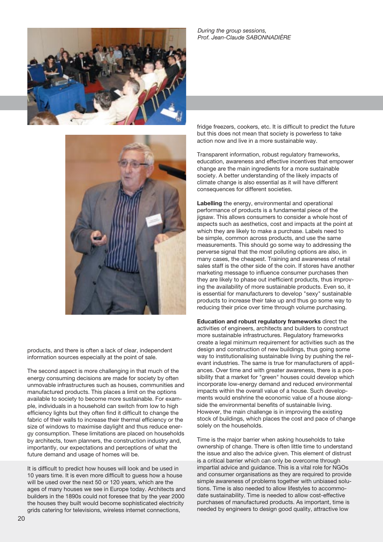



products, and there is often a lack of clear, independent information sources especially at the point of sale.

The second aspect is more challenging in that much of the energy consuming decisions are made for society by often unmovable infrastructures such as houses, communities and manufactured products. This places a limit on the options available to society to become more sustainable. For example, individuals in a household can switch from low to high efficiency lights but they often find it difficult to change the fabric of their walls to increase their thermal efficiency or the size of windows to maximise daylight and thus reduce energy consumption. These limitations are placed on households by architects, town planners, the construction industry and, importantly, our expectations and perceptions of what the future demand and usage of homes will be.

It is difficult to predict how houses will look and be used in 10 years time. It is even more difficult to guess how a house will be used over the next 50 or 120 years, which are the ages of many houses we see in Europe today. Architects and builders in the 1890s could not foresee that by the year 2000 the houses they built would become sophisticated electricity grids catering for televisions, wireless internet connections,

### *During the group sessions, Prof. Jean-Claude SABONNADIÈRE*

fridge freezers, cookers, etc. It is difficult to predict the future but this does not mean that society is powerless to take action now and live in a more sustainable way.

Transparent information, robust regulatory frameworks, education, awareness and effective incentives that empower change are the main ingredients for a more sustainable society. A better understanding of the likely impacts of climate change is also essential as it will have different consequences for different societies.

**Labelling** the energy, environmental and operational performance of products is a fundamental piece of the jigsaw. This allows consumers to consider a whole host of aspects such as aesthetics, cost and impacts at the point at which they are likely to make a purchase. Labels need to be simple, common across products, and use the same measurements. This should go some way to addressing the perverse signal that the most polluting options are also, in many cases, the cheapest. Training and awareness of retail sales staff is the other side of the coin. If stores have another marketing message to influence consumer purchases then they are likely to phase out inefficient products, thus improving the availability of more sustainable products. Even so, it is essential for manufacturers to develop "sexy" sustainable products to increase their take up and thus go some way to reducing their price over time through volume purchasing.

**Education and robust regulatory frameworks** direct the activities of engineers, architects and builders to construct more sustainable infrastructures. Regulatory frameworks create a legal minimum requirement for activities such as the design and construction of new buildings, thus going some way to institutionalising sustainable living by pushing the relevant industries. The same is true for manufacturers of appliances. Over time and with greater awareness, there is a possibility that a market for "green" houses could develop which incorporate low-energy demand and reduced environmental impacts within the overall value of a house. Such developments would enshrine the economic value of a house alongside the environmental benefits of sustainable living. However, the main challenge is in improving the existing stock of buildings, which places the cost and pace of change solely on the households.

Time is the major barrier when asking households to take ownership of change. There is often little time to understand the issue and also the advice given. This element of distrust is a critical barrier which can only be overcome through impartial advice and guidance. This is a vital role for NGOs and consumer organisations as they are required to provide simple awareness of problems together with unbiased solutions. Time is also needed to allow lifestyles to accommodate sustainability. Time is needed to allow cost-effective purchases of manufactured products. As important, time is needed by engineers to design good quality, attractive low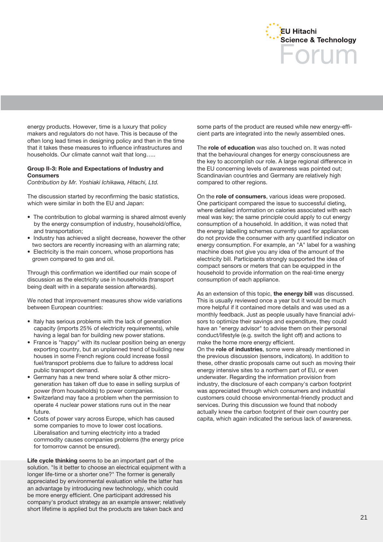

energy products. However, time is a luxury that policy makers and regulators do not have. This is because of the often long lead times in designing policy and then in the time that it takes these measures to influence infrastructures and households. Our climate cannot wait that long…..

# **Group II-3: Role and Expectations of Industry and Consumers**

*Contribution by Mr. Yoshiaki Ichikawa, Hitachi, Ltd.*

The discussion started by reconfirming the basic statistics, which were similar in both the EU and Japan:

- The contribution to global warming is shared almost evenly by the energy consumption of industry, household/office, and transportation;
- Industry has achieved a slight decrease, however the other two sectors are recently increasing with an alarming rate;
- Electricity is the main concern, whose proportions has grown compared to gas and oil.

Through this confirmation we identified our main scope of discussion as the electricity use in households (transport being dealt with in a separate session afterwards).

We noted that improvement measures show wide variations between European countries:

- Italy has serious problems with the lack of generation capacity (imports 25% of electricity requirements), while having a legal ban for building new power stations.
- France is "happy" with its nuclear position being an energy exporting country, but an unplanned trend of building new houses in some French regions could increase fossil fuel/transport problems due to failure to address local public transport demand.
- Germany has a new trend where solar & other microgeneration has taken off due to ease in selling surplus of power (from households) to power companies.
- Switzerland may face a problem when the permission to operate 4 nuclear power stations runs out in the near future.
- Costs of power vary across Europe, which has caused some companies to move to lower cost locations. Liberalisation and turning electricity into a traded commodity causes companies problems (the energy price for tomorrow cannot be ensured).

**Life cycle thinking** seems to be an important part of the solution. "Is it better to choose an electrical equipment with a longer life-time or a shorter one?" The former is generally appreciated by environmental evaluation while the latter has an advantage by introducing new technology, which could be more energy efficient. One participant addressed his company's product strategy as an example answer; relatively short lifetime is applied but the products are taken back and

some parts of the product are reused while new energy-efficient parts are integrated into the newly assembled ones.

The **role of education** was also touched on. It was noted that the behavioural changes for energy consciousness are the key to accomplish our role. A large regional difference in the EU concerning levels of awareness was pointed out; Scandinavian countries and Germany are relatively high compared to other regions.

On the **role of consumers**, various ideas were proposed. One participant compared the issue to successful dieting, where detailed information on calories associated with each meal was key; the same principle could apply to cut energy consumption of a household. In addition, it was noted that the energy labelling schemes currently used for appliances do not provide the consumer with any quantified indicator on energy consumption. For example, an "A" label for a washing machine does not give you any idea of the amount of the electricity bill. Participants strongly supported the idea of compact sensors or meters that can be equipped in the household to provide information on the real-time energy consumption of each appliance.

As an extension of this topic, **the energy bill** was discussed. This is usually reviewed once a year but it would be much more helpful if it contained more details and was used as a monthly feedback. Just as people usually have financial advisors to optimize their savings and expenditure, they could have an "energy advisor" to advise them on their personal conduct/lifestyle (e.g. switch the light off) and actions to make the home more energy efficient.

On the **role of industries**, some were already mentioned in the previous discussion (sensors, indicators). In addition to these, other drastic proposals came out such as moving their energy intensive sites to a northern part of EU, or even underwater. Regarding the information provision from industry, the disclosure of each company's carbon footprint was appreciated through which consumers and industrial customers could choose environmental-friendly product and services. During this discussion we found that nobody actually knew the carbon footprint of their own country per capita, which again indicated the serious lack of awareness.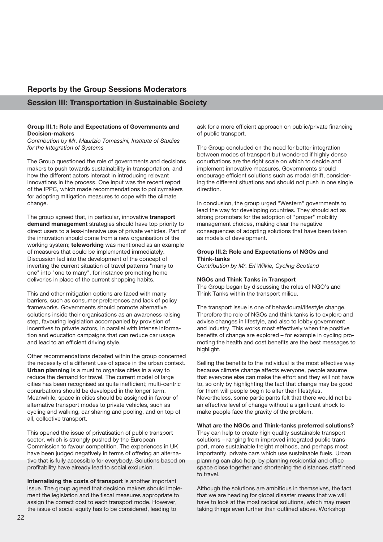# **Reports by the Group Sessions Moderators**

# **Session III: Transportation in Sustainable Society**

### **Group III.1: Role and Expectations of Governments and Decision-makers**

*Contribution by Mr. Maurizio Tomassini, Institute of Studies for the Integration of Systems*

The Group questioned the role of governments and decisions makers to push towards sustainability in transportation, and how the different actors interact in introducing relevant innovations in the process. One input was the recent report of the IPPC, which made recommendations to policymakers for adopting mitigation measures to cope with the climate change.

The group agreed that, in particular, innovative **transport demand management** strategies should have top priority to direct users to a less-intensive use of private vehicles. Part of the innovation should come from a new organisation of the working system; **teleworking** was mentioned as an example of measures that could be implemented immediately. Discussion led into the development of the concept of inverting the current situation of travel patterns "many to one" into "one to many", for instance promoting home deliveries in place of the current shopping habits.

This and other mitigation options are faced with many barriers, such as consumer preferences and lack of policy frameworks. Governments should promote alternative solutions inside their organisations as an awareness raising step, favouring legislation accompanied by provision of incentives to private actors, in parallel with intense information and education campaigns that can reduce car usage and lead to an efficient driving style.

Other recommendations debated within the group concerned the necessity of a different use of space in the urban context. **Urban planning** is a must to organise cities in a way to reduce the demand for travel. The current model of large cities has been recognised as quite inefficient; multi-centric conurbations should be developed in the longer term. Meanwhile, space in cities should be assigned in favour of alternative transport modes to private vehicles, such as cycling and walking, car sharing and pooling, and on top of all, collective transport.

This opened the issue of privatisation of public transport sector, which is strongly pushed by the European Commission to favour competition. The experiences in UK have been judged negatively in terms of offering an alternative that is fully accessible for everybody. Solutions based on profitability have already lead to social exclusion.

**Internalising the costs of transport** is another important issue. The group agreed that decision makers should implement the legislation and the fiscal measures appropriate to assign the correct cost to each transport mode. However, the issue of social equity has to be considered, leading to

ask for a more efficient approach on public/private financing of public transport.

The Group concluded on the need for better integration between modes of transport but wondered if highly dense conurbations are the right scale on which to decide and implement innovative measures. Governments should encourage efficient solutions such as modal shift, considering the different situations and should not push in one single direction.

In conclusion, the group urged "Western" governments to lead the way for developing countries. They should act as strong promoters for the adoption of "proper" mobility management choices, making clear the negative consequences of adopting solutions that have been taken as models of development.

# **Group III.2: Role and Expectations of NGOs and Think-tanks**

*Contribution by Mr. Erl Wilkie, Cycling Scotland*

### **NGOs and Think Tanks in Transport**

The Group began by discussing the roles of NGO's and Think Tanks within the transport milieu.

The transport issue is one of behavioural/lifestyle change. Therefore the role of NGOs and think tanks is to explore and advise changes in lifestyle, and also to lobby government and industry. This works most effectively when the positive benefits of change are explored – for example in cycling promoting the health and cost benefits are the best messages to highlight.

Selling the benefits to the individual is the most effective way because climate change affects everyone, people assume that everyone else can make the effort and they will not have to, so only by highlighting the fact that change may be good for them will people begin to alter their lifestyles. Nevertheless, some participants felt that there would not be an effective level of change without a significant shock to make people face the gravity of the problem.

### **What are the NGOs and Think-tanks preferred solutions?**

They can help to create high quality sustainable transport solutions – ranging from improved integrated public transport, more sustainable freight methods, and perhaps most importantly, private cars which use sustainable fuels. Urban planning can also help, by planning residential and office space close together and shortening the distances staff need to travel.

Although the solutions are ambitious in themselves, the fact that we are heading for global disaster means that we will have to look at the most radical solutions, which may mean taking things even further than outlined above. Workshop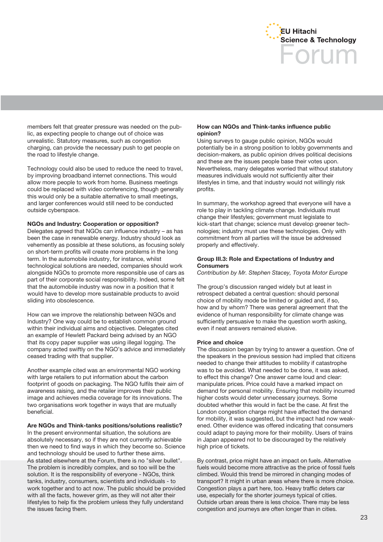

members felt that greater pressure was needed on the public, as expecting people to change out of choice was unrealistic. Statutory measures, such as congestion charging, can provide the necessary push to get people on the road to lifestyle change.

Technology could also be used to reduce the need to travel, by improving broadband internet connections. This would allow more people to work from home. Business meetings could be replaced with video conferencing, though generally this would only be a suitable alternative to small meetings, and larger conferences would still need to be conducted outside cyberspace.

# **NGOs and Industry: Cooperation or opposition?**

Delegates agreed that NGOs can influence industry – as has been the case in renewable energy. Industry should look as vehemently as possible at these solutions, as focusing solely on short-term profits will create more problems in the long term. In the automobile industry, for instance, whilst technological solutions are needed, companies should work alongside NGOs to promote more responsible use of cars as part of their corporate social responsibility. Indeed, some felt that the automobile industry was now in a position that it would have to develop more sustainable products to avoid sliding into obsolescence.

How can we improve the relationship between NGOs and Industry? One way could be to establish common ground within their individual aims and objectives. Delegates cited an example of Hewlett Packard being advised by an NGO that its copy paper supplier was using illegal logging. The company acted swiftly on the NGO's advice and immediately ceased trading with that supplier.

Another example cited was an environmental NGO working with large retailers to put information about the carbon footprint of goods on packaging. The NGO fulfils their aim of awareness raising, and the retailer improves their public image and achieves media coverage for its innovations. The two organisations work together in ways that are mutually beneficial.

### **Are NGOs and Think-tanks positions/solutions realistic?**

In the present environmental situation, the solutions are absolutely necessary, so if they are not currently achievable then we need to find ways in which they become so. Science and technology should be used to further these aims. As stated elsewhere at the Forum, there is no "silver bullet". The problem is incredibly complex, and so too will be the solution. It is the responsibility of everyone - NGOs, think tanks, industry, consumers, scientists and individuals - to work together and to act now. The public should be provided with all the facts, however grim, as they will not alter their lifestyles to help fix the problem unless they fully understand the issues facing them.

### **How can NGOs and Think-tanks influence public opinion?**

Using surveys to gauge public opinion, NGOs would potentially be in a strong position to lobby governments and decision-makers, as public opinion drives political decisions and these are the issues people base their votes upon. Nevertheless, many delegates worried that without statutory measures individuals would not sufficiently alter their lifestyles in time, and that industry would not willingly risk profits.

In summary, the workshop agreed that everyone will have a role to play in tackling climate change. Individuals must change their lifestyles; government must legislate to kick-start that change; science must develop greener technologies; industry must use these technologies. Only with commitment from all parties will the issue be addressed properly and effectively.

# **Group III.3: Role and Expectations of Industry and Consumers**

*Contribution by Mr. Stephen Stacey, Toyota Motor Europe*

The group's discussion ranged widely but at least in retrospect debated a central question: should personal choice of mobility mode be limited or guided and, if so, how and by whom? There was general agreement that the evidence of human responsibility for climate change was sufficiently persuasive to make the question worth asking. even if neat answers remained elusive.

### **Price and choice**

The discussion began by trying to answer a question. One of the speakers in the previous session had implied that citizens needed to change their attitudes to mobility if catastrophe was to be avoided. What needed to be done, it was asked, to effect this change? One answer came loud and clear: manipulate prices. Price could have a marked impact on demand for personal mobility. Ensuring that mobility incurred higher costs would deter unnecessary journeys. Some doubted whether this would in fact be the case. At first the London congestion charge might have affected the demand for mobility, it was suggested, but the impact had now weakened. Other evidence was offered indicating that consumers could adapt to paying more for their mobility. Users of trains in Japan appeared not to be discouraged by the relatively high price of tickets.

By contrast, price might have an impact on fuels. Alternative fuels would become more attractive as the price of fossil fuels climbed. Would this trend be mirrored in changing modes of transport? It might in urban areas where there is more choice. Congestion plays a part here, too. Heavy traffic deters car use, especially for the shorter journeys typical of cities. Outside urban areas there is less choice. There may be less congestion and journeys are often longer than in cities.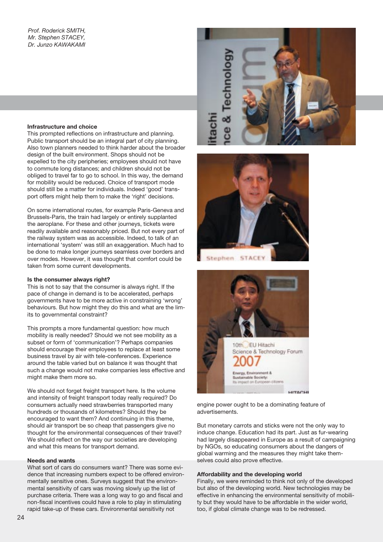# **Infrastructure and choice**

This prompted reflections on infrastructure and planning. Public transport should be an integral part of city planning. Also town planners needed to think harder about the broader design of the built environment. Shops should not be expelled to the city peripheries; employees should not have to commute long distances; and children should not be obliged to travel far to go to school. In this way, the demand for mobility would be reduced. Choice of transport mode should still be a matter for individuals. Indeed 'good' transport offers might help them to make the 'right' decisions.

On some international routes, for example Paris-Geneva and Brussels-Paris, the train had largely or entirely supplanted the aeroplane. For these and other journeys, tickets were readily available and reasonably priced. But not every part of the railway system was as accessible. Indeed, to talk of an international 'system' was still an exaggeration. Much had to be done to make longer journeys seamless over borders and over modes. However, it was thought that comfort could be taken from some current developments.

### **Is the consumer always right?**

This is not to say that the consumer is always right. If the pace of change in demand is to be accelerated, perhaps governments have to be more active in constraining 'wrong' behaviours. But how might they do this and what are the limits to governmental constraint?

This prompts a more fundamental question: how much mobility is really needed? Should we not see mobility as a subset or form of 'communication'? Perhaps companies should encourage their employees to replace at least some business travel by air with tele-conferences. Experience around the table varied but on balance it was thought that such a change would not make companies less effective and might make them more so.

We should not forget freight transport here. Is the volume and intensity of freight transport today really required? Do consumers actually need strawberries transported many hundreds or thousands of kilometres? Should they be encouraged to want them? And continuing in this theme, should air transport be so cheap that passengers give no thought for the environmental consequences of their travel? We should reflect on the way our societies are developing and what this means for transport demand.

### **Needs and wants**

What sort of cars do consumers want? There was some evidence that increasing numbers expect to be offered environmentally sensitive ones. Surveys suggest that the environmental sensitivity of cars was moving slowly up the list of purchase criteria. There was a long way to go and fiscal and non-fiscal incentives could have a role to play in stimulating rapid take-up of these cars. Environmental sensitivity not





Stephen



engine power ought to be a dominating feature of advertisements.

But monetary carrots and sticks were not the only way to induce change. Education had its part. Just as fur-wearing had largely disappeared in Europe as a result of campaigning by NGOs, so educating consumers about the dangers of global warming and the measures they might take themselves could also prove effective.

# **Affordability and the developing world**

Finally, we were reminded to think not only of the developed but also of the developing world. New technologies may be effective in enhancing the environmental sensitivity of mobility but they would have to be affordable in the wider world, too, if global climate change was to be redressed.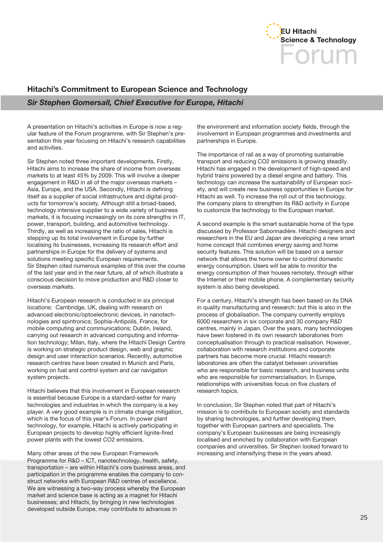

# **Hitachi's Commitment to European Science and Technology**

*Sir Stephen Gomersall, Chief Executive for Europe, Hitachi*

A presentation on Hitachi's activities in Europe is now a regular feature of the Forum programme, with Sir Stephen's presentation this year focusing on Hitachi's research capabilities and activities.

Sir Stephen noted three important developments. Firstly, Hitachi aims to increase the share of income from overseas markets to at least 45% by 2009. This will involve a deeper engagement in R&D in all of the major overseas markets – Asia, Europe, and the USA. Secondly, Hitachi is defining itself as a supplier of social infrastructure and digital products for tomorrow's society. Although still a broad-based, technology intensive supplier to a wide variety of business markets, it is focusing increasingly on its core strengths in IT, power, transport, building, and automotive technology. Thirdly, as well as increasing the ratio of sales, Hitachi is stepping up its total involvement in Europe by further localising its businesses, increasing its research effort and partnerships in Europe for the delivery of systems and solutions meeting specific European requirements. Sir Stephen cited numerous examples of this over the course of the last year and in the near future, all of which illustrate a conscious decision to move production and R&D closer to overseas markets.

Hitachi's European research is conducted in six principal locations: Cambridge, UK, dealing with research on advanced electronic/optoelectronic devices, in nanotechnologies and spintronics; Sophia-Antipolis, France, for mobile computing and communications; Dublin, Ireland, carrying out research in advanced computing and information technology; Milan, Italy, where the Hitachi Design Centre is working on strategic product design, web and graphic design and user interaction scenarios. Recently, automotive research centres have been created in Munich and Paris, working on fuel and control system and car navigation system projects.

Hitachi believes that this involvement in European research is essential because Europe is a standard-setter for many technologies and industries in which the company is a key player. A very good example is in climate change mitigation, which is the focus of this year's Forum. In power plant technology, for example, Hitachi is actively participating in European projects to develop highly efficient lignite-fired power plants with the lowest CO2 emissions.

Many other areas of the new European Framework Programme for R&D – ICT, nanotechnology, health, safety, transportation – are within Hitachi's core business areas, and participation in the programme enables the company to construct networks with European R&D centres of excellence. We are witnessing a two-way process whereby the European market and science base is acting as a magnet for Hitachi businesses; and Hitachi, by bringing in new technologies developed outside Europe, may contribute to advances in

the environment and information society fields, through the involvement in European programmes and investments and partnerships in Europe.

The importance of rail as a way of promoting sustainable transport and reducing CO2 emissions is growing steadily. Hitachi has engaged in the development of high-speed and hybrid trains powered by a diesel engine and battery. This technology can increase the sustainability of European society, and will create new business opportunities in Europe for Hitachi as well. To increase the roll out of this technology, the company plans to strengthen its R&D activity in Europe to customize the technology to the European market.

A second example is the smart sustainable home of the type discussed by Professor Sabonnadière. Hitachi designers and researchers in the EU and Japan are developing a new smart home concept that combines energy saving and home security features. This solution will be based on a sensor network that allows the home owner to control domestic energy consumption. Users will be able to monitor the energy consumption of their houses remotely, through either the Internet or their mobile phone. A complementary security system is also being developed.

For a century, Hitachi's strength has been based on its DNA in quality manufacturing and research: but this is also in the process of globalisation. The company currently employs 6000 researchers in six corporate and 30 company R&D centres, mainly in Japan. Over the years, many technologies have been fostered in its own research laboratories from conceptualisation through to practical realisation. However, collaboration with research institutions and corporate partners has become more crucial. Hitachi research laboratories are often the catalyst between universities who are responsible for basic research, and business units who are responsible for commercialisation. In Europe, relationships with universities focus on five clusters of research topics.

In conclusion, Sir Stephen noted that part of Hitachi's mission is to contribute to European society and standards by sharing technologies, and further developing them, together with European partners and specialists. The company's European businesses are being increasingly localised and enriched by collaboration with European companies and universities. Sir Stephen looked forward to increasing and intensifying these in the years ahead.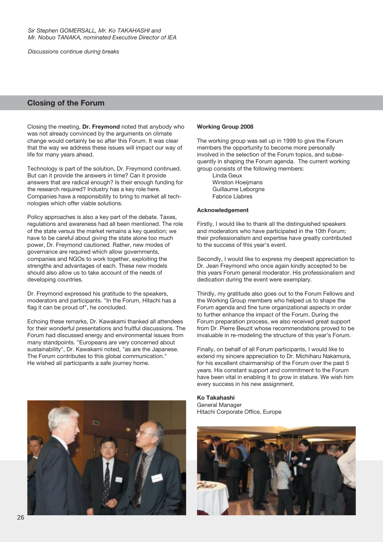*Discussions continue during breaks*

# **Closing of the Forum**

Closing the meeting, **Dr. Freymond** noted that anybody who was not already convinced by the arguments on climate change would certainly be so after this Forum. It was clear that the way we address these issues will impact our way of life for many years ahead.

Technology is part of the solution, Dr. Freymond continued. But can it provide the answers in time? Can it provide answers that are radical enough? Is their enough funding for the research required? Industry has a key role here. Companies have a responsibility to bring to market all technologies which offer viable solutions.

Policy approaches is also a key part of the debate. Taxes, regulations and awareness had all been mentioned. The role of the state versus the market remains a key question; we have to be careful about giving the state alone too much power, Dr. Freymond cautioned. Rather, new modes of governance are required which allow governments, companies and NGOs to work together, exploiting the strengths and advantages of each. These new models should also allow us to take account of the needs of developing countries.

Dr. Freymond expressed his gratitude to the speakers, moderators and participants. "In the Forum, Hitachi has a flag it can be proud of", he concluded.

Echoing these remarks, Dr. Kawakami thanked all attendees for their wonderful presentations and fruitful discussions. The Forum had discussed energy and environmental issues from many standpoints. "Europeans are very concerned about sustainability", Dr. Kawakami noted, "as are the Japanese. The Forum contributes to this global communication." He wished all participants a safe journey home.

# **Working Group 2008**

The working group was set up in 1999 to give the Forum members the opportunity to become more personally involved in the selection of the Forum topics, and subsequently in shaping the Forum agenda. The current working group consists of the following members:

Linda Geux Winston Hoeijmans Guillaume Leborgne Fabrice Llabres

### **Acknowledgement**

Firstly, I would like to thank all the distinguished speakers and moderators who have participated in the 10th Forum; their professionalism and expertise have greatly contributed to the success of this year's event.

Secondly, I would like to express my deepest appreciation to Dr. Jean Freymond who once again kindly accepted to be this years Forum general moderator. His professionalism and dedication during the event were exemplary.

Thirdly, my gratitude also goes out to the Forum Fellows and the Working Group members who helped us to shape the Forum agenda and fine tune organizational aspects in order to further enhance the impact of the Forum. During the Forum preparation process, we also received great support from Dr. Pierre Beuzit whose recommendations proved to be invaluable in re-modeling the structure of this year's Forum.

Finally, on behalf of all Forum participants, I would like to extend my sincere appreciation to Dr. Michiharu Nakamura, for his excellent chairmanship of the Forum over the past 5 years. His constant support and commitment to the Forum have been vital in enabling it to grow in stature. We wish him every success in his new assignment.

**Ko Takahashi** General Manager Hitachi Corporate Office, Europe



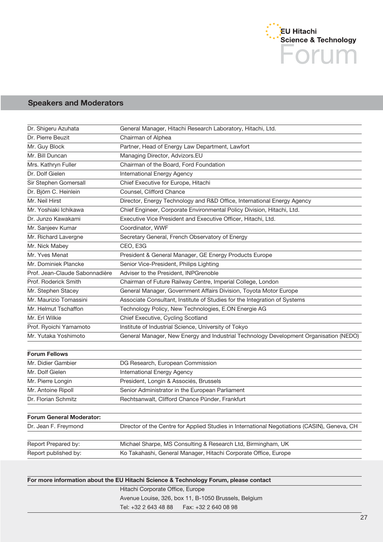

# **Speakers and Moderators**

| Dr. Shigeru Azuhata            | General Manager, Hitachi Research Laboratory, Hitachi, Ltd.                           |
|--------------------------------|---------------------------------------------------------------------------------------|
| Dr. Pierre Beuzit              | Chairman of Alphea                                                                    |
| Mr. Guy Block                  | Partner, Head of Energy Law Department, Lawfort                                       |
| Mr. Bill Duncan                | Managing Director, Advizors.EU                                                        |
| Mrs. Kathryn Fuller            | Chairman of the Board, Ford Foundation                                                |
| Dr. Dolf Gielen                | International Energy Agency                                                           |
| Sir Stephen Gomersall          | Chief Executive for Europe, Hitachi                                                   |
| Dr. Björn C. Heinlein          | Counsel, Clifford Chance                                                              |
| Mr. Neil Hirst                 | Director, Energy Technology and R&D Office, International Energy Agency               |
| Mr. Yoshiaki Ichikawa          | Chief Engineer, Corporate Environmental Policy Division, Hitachi, Ltd.                |
| Dr. Junzo Kawakami             | Executive Vice President and Executive Officer, Hitachi, Ltd.                         |
| Mr. Sanjeev Kumar              | Coordinator, WWF                                                                      |
| Mr. Richard Lavergne           | Secretary General, French Observatory of Energy                                       |
| Mr. Nick Mabey                 | CEO, E3G                                                                              |
| Mr. Yves Menat                 | President & General Manager, GE Energy Products Europe                                |
| Mr. Dominiek Plancke           | Senior Vice-President, Philips Lighting                                               |
| Prof. Jean-Claude Sabonnadière | Adviser to the President, INPGrenoble                                                 |
| Prof. Roderick Smith           | Chairman of Future Railway Centre, Imperial College, London                           |
| Mr. Stephen Stacey             | General Manager, Government Affairs Division, Toyota Motor Europe                     |
| Mr. Maurizio Tomassini         | Associate Consultant, Institute of Studies for the Integration of Systems             |
| Mr. Helmut Tschaffon           | Technology Policy, New Technologies, E.ON Energie AG                                  |
| Mr. Erl Wilkie                 | Chief Executive, Cycling Scotland                                                     |
| Prof. Ryoichi Yamamoto         | Institute of Industrial Science, University of Tokyo                                  |
| Mr. Yutaka Yoshimoto           | General Manager, New Energy and Industrial Technology Development Organisation (NEDO) |
| <b>Forum Fellows</b>           |                                                                                       |
| Mr. Didier Gambier             | DG Research, European Commission                                                      |
| Mr. Dolf Gielen                | International Energy Agency                                                           |

| 1911 . DUI GIUIUI 1 | $\frac{1}{2}$                                   |
|---------------------|-------------------------------------------------|
| Mr. Pierre Longin   | President, Longin & Associés, Brussels          |
| Mr. Antoine Ripoll  | Senior Administrator in the European Parliament |
| Dr. Florian Schmitz | Rechtsanwalt, Clifford Chance Pünder, Frankfurt |

| <b>Forum General Moderator:</b> |                                                                                              |
|---------------------------------|----------------------------------------------------------------------------------------------|
| Dr. Jean F. Freymond            | Director of the Centre for Applied Studies in International Negotiations (CASIN), Geneva, CH |
|                                 |                                                                                              |
| Report Prepared by:             | Michael Sharpe, MS Consulting & Research Ltd, Birmingham, UK                                 |
| Report published by:            | Ko Takahashi, General Manager, Hitachi Corporate Office, Europe                              |

# **For more information about the EU Hitachi Science & Technology Forum, please contact**

Hitachi Corporate Office, Europe

Avenue Louise, 326, box 11, B-1050 Brussels, Belgium

Tel: +32 2 643 48 88 Fax: +32 2 640 08 98